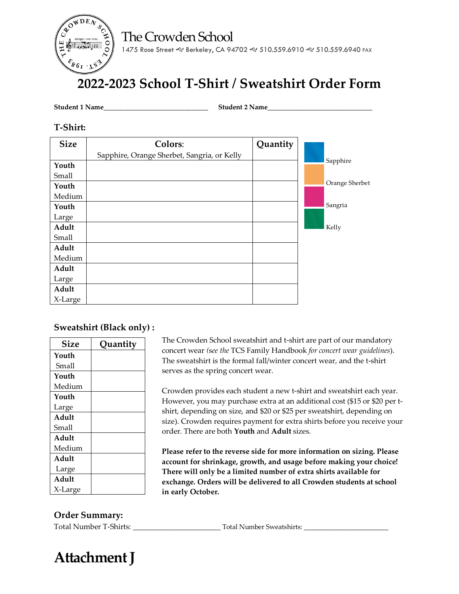The Crowden School



1475 Rose Street & Berkeley, CA 94702 & 510.559.6910 & 510.559.6940 FAX

# **2022-2023 School T-Shirt / Sweatshirt Order Form**

**Student 1 Name**\_\_\_\_\_\_\_\_\_\_\_\_\_\_\_\_\_\_\_\_\_\_\_\_\_\_\_\_\_\_\_ **Student 2 Name**\_\_\_\_\_\_\_\_\_\_\_\_\_\_\_\_\_\_\_\_\_\_\_\_\_\_\_\_\_\_\_

#### **T-Shirt:**

| <b>Size</b> | Colors:                                     | Quantity |                |
|-------------|---------------------------------------------|----------|----------------|
|             | Sapphire, Orange Sherbet, Sangria, or Kelly |          |                |
| Youth       |                                             |          | Sapphire       |
| Small       |                                             |          |                |
| Youth       |                                             |          | Orange Sherbet |
| Medium      |                                             |          |                |
| Youth       |                                             |          | Sangria        |
| Large       |                                             |          |                |
| Adult       |                                             |          | Kelly          |
| Small       |                                             |          |                |
| Adult       |                                             |          |                |
| Medium      |                                             |          |                |
| Adult       |                                             |          |                |
| Large       |                                             |          |                |
| Adult       |                                             |          |                |
| X-Large     |                                             |          |                |

#### **Sweatshirt (Black only) :**

| <b>Size</b> | Quantity |
|-------------|----------|
| Youth       |          |
| Small       |          |
| Youth       |          |
| Medium      |          |
| Youth       |          |
| Large       |          |
| Adult       |          |
| Small       |          |
| Adult       |          |
| Medium      |          |
| Adult       |          |
| Large       |          |
| Adult       |          |
| X-Large     |          |

The Crowden School sweatshirt and t-shirt are part of our mandatory concert wear *(*s*ee the* TCS Family Handbook *for concert wear guidelines*). The sweatshirt is the formal fall/winter concert wear, and the t-shirt serves as the spring concert wear.

Crowden provides each student a new t-shirt and sweatshirt each year. However, you may purchase extra at an additional cost (\$15 or \$20 per tshirt, depending on size, and \$20 or \$25 per sweatshirt, depending on size). Crowden requires payment for extra shirts before you receive your order. There are both **Youth** and **Adult** sizes.

**Please refer to the reverse side for more information on sizing. Please account for shrinkage, growth, and usage before making your choice! There will only be a limited number of extra shirts available for exchange. Orders will be delivered to all Crowden students at school in early October.**

#### **Order Summary:**

Total Number T-Shirts: \_\_\_\_\_\_\_\_\_\_\_\_\_\_\_\_\_\_\_\_\_\_\_\_\_\_ Total Number Sweatshirts: \_\_\_\_\_\_\_\_\_\_\_\_\_\_\_\_\_\_\_\_\_\_\_\_\_

# **Attachment J**